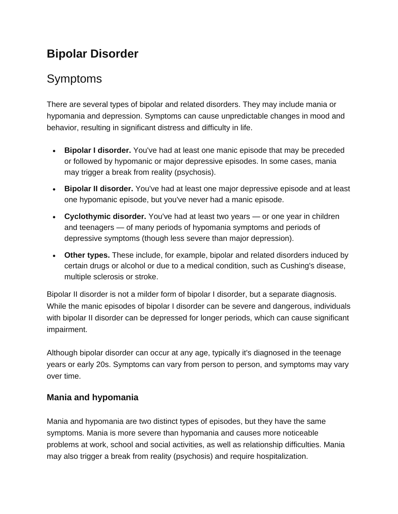## **Bipolar Disorder**

# **Symptoms**

There are several types of bipolar and related disorders. They may include mania or hypomania and depression. Symptoms can cause unpredictable changes in mood and behavior, resulting in significant distress and difficulty in life.

- **Bipolar I disorder.** You've had at least one manic episode that may be preceded or followed by hypomanic or major depressive episodes. In some cases, mania may trigger a break from reality (psychosis).
- **Bipolar II disorder.** You've had at least one major depressive episode and at least one hypomanic episode, but you've never had a manic episode.
- **Cyclothymic disorder.** You've had at least two years or one year in children and teenagers — of many periods of hypomania symptoms and periods of depressive symptoms (though less severe than major depression).
- **Other types.** These include, for example, bipolar and related disorders induced by certain drugs or alcohol or due to a medical condition, such as Cushing's disease, multiple sclerosis or stroke.

Bipolar II disorder is not a milder form of bipolar I disorder, but a separate diagnosis. While the manic episodes of bipolar I disorder can be severe and dangerous, individuals with bipolar II disorder can be depressed for longer periods, which can cause significant impairment.

Although bipolar disorder can occur at any age, typically it's diagnosed in the teenage years or early 20s. Symptoms can vary from person to person, and symptoms may vary over time.

### **Mania and hypomania**

Mania and hypomania are two distinct types of episodes, but they have the same symptoms. Mania is more severe than hypomania and causes more noticeable problems at work, school and social activities, as well as relationship difficulties. Mania may also trigger a break from reality (psychosis) and require hospitalization.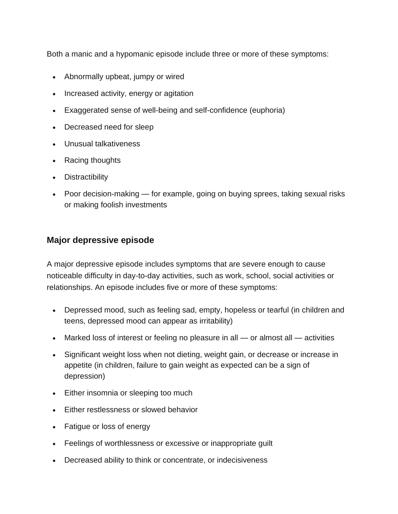Both a manic and a hypomanic episode include three or more of these symptoms:

- Abnormally upbeat, jumpy or wired
- Increased activity, energy or agitation
- Exaggerated sense of well-being and self-confidence (euphoria)
- Decreased need for sleep
- Unusual talkativeness
- Racing thoughts
- Distractibility
- Poor decision-making for example, going on buying sprees, taking sexual risks or making foolish investments

#### **Major depressive episode**

A major depressive episode includes symptoms that are severe enough to cause noticeable difficulty in day-to-day activities, such as work, school, social activities or relationships. An episode includes five or more of these symptoms:

- Depressed mood, such as feeling sad, empty, hopeless or tearful (in children and teens, depressed mood can appear as irritability)
- Marked loss of interest or feeling no pleasure in all or almost all activities
- Significant weight loss when not dieting, weight gain, or decrease or increase in appetite (in children, failure to gain weight as expected can be a sign of depression)
- Either insomnia or sleeping too much
- Either restlessness or slowed behavior
- Fatigue or loss of energy
- Feelings of worthlessness or excessive or inappropriate guilt
- Decreased ability to think or concentrate, or indecisiveness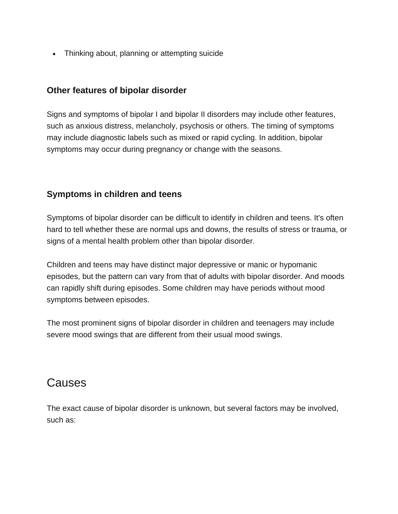• Thinking about, planning or attempting suicide

#### **Other features of bipolar disorder**

Signs and symptoms of bipolar I and bipolar II disorders may include other features, such as anxious distress, melancholy, psychosis or others. The timing of symptoms may include diagnostic labels such as mixed or rapid cycling. In addition, bipolar symptoms may occur during pregnancy or change with the seasons.

#### **Symptoms in children and teens**

Symptoms of bipolar disorder can be difficult to identify in children and teens. It's often hard to tell whether these are normal ups and downs, the results of stress or trauma, or signs of a mental health problem other than bipolar disorder.

Children and teens may have distinct major depressive or manic or hypomanic episodes, but the pattern can vary from that of adults with bipolar disorder. And moods can rapidly shift during episodes. Some children may have periods without mood symptoms between episodes.

The most prominent signs of bipolar disorder in children and teenagers may include severe mood swings that are different from their usual mood swings.

### **Causes**

The exact cause of bipolar disorder is unknown, but several factors may be involved, such as: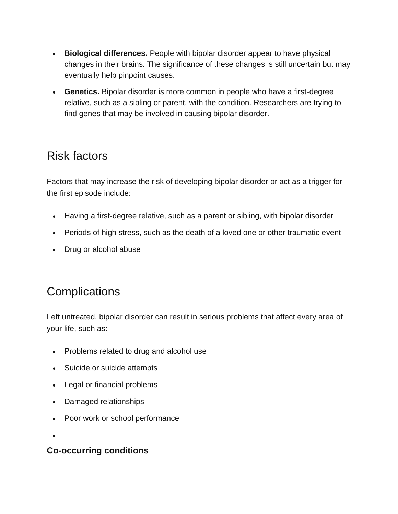- **Biological differences.** People with bipolar disorder appear to have physical changes in their brains. The significance of these changes is still uncertain but may eventually help pinpoint causes.
- **Genetics.** Bipolar disorder is more common in people who have a first-degree relative, such as a sibling or parent, with the condition. Researchers are trying to find genes that may be involved in causing bipolar disorder.

### Risk factors

Factors that may increase the risk of developing bipolar disorder or act as a trigger for the first episode include:

- Having a first-degree relative, such as a parent or sibling, with bipolar disorder
- Periods of high stress, such as the death of a loved one or other traumatic event
- Drug or alcohol abuse

## **Complications**

Left untreated, bipolar disorder can result in serious problems that affect every area of your life, such as:

- Problems related to drug and alcohol use
- Suicide or suicide attempts
- Legal or financial problems
- Damaged relationships
- Poor work or school performance

•

#### **Co-occurring conditions**